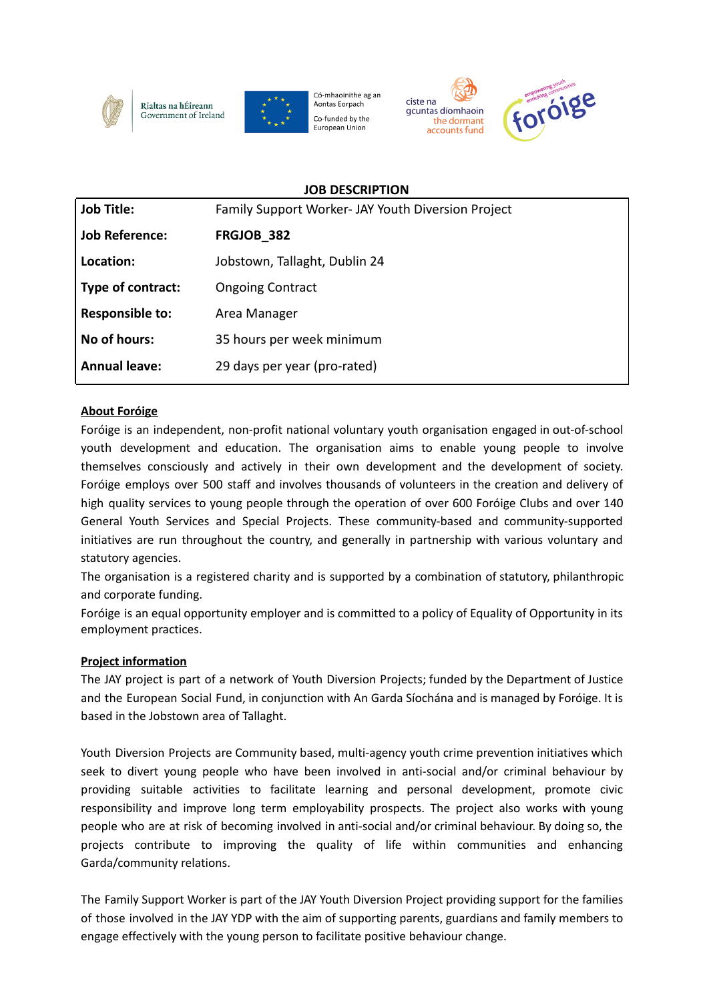

Rialtas na hÉireann Government of Ireland



Có-mhaoinithe ag an Aontas Eorpach Co-funded by the European Union



### **JOB DESCRIPTION**

| <b>Job Title:</b>      | Family Support Worker- JAY Youth Diversion Project |
|------------------------|----------------------------------------------------|
| <b>Job Reference:</b>  | FRGJOB 382                                         |
| Location:              | Jobstown, Tallaght, Dublin 24                      |
| Type of contract:      | <b>Ongoing Contract</b>                            |
| <b>Responsible to:</b> | Area Manager                                       |
| No of hours:           | 35 hours per week minimum                          |
| <b>Annual leave:</b>   | 29 days per year (pro-rated)                       |
|                        |                                                    |

### **About Foróige**

Foróige is an independent, non-profit national voluntary youth organisation engaged in out-of-school youth development and education. The organisation aims to enable young people to involve themselves consciously and actively in their own development and the development of society. Foróige employs over 500 staff and involves thousands of volunteers in the creation and delivery of high quality services to young people through the operation of over 600 Foróige Clubs and over 140 General Youth Services and Special Projects. These community-based and community-supported initiatives are run throughout the country, and generally in partnership with various voluntary and statutory agencies.

The organisation is a registered charity and is supported by a combination of statutory, philanthropic and corporate funding.

Foróige is an equal opportunity employer and is committed to a policy of Equality of Opportunity in its employment practices.

### **Project information**

The JAY project is part of a network of Youth Diversion Projects; funded by the Department of Justice and the European Social Fund, in conjunction with An Garda Síochána and is managed by Foróige. It is based in the Jobstown area of Tallaght.

Youth Diversion Projects are Community based, multi-agency youth crime prevention initiatives which seek to divert young people who have been involved in anti-social and/or criminal behaviour by providing suitable activities to facilitate learning and personal development, promote civic responsibility and improve long term employability prospects. The project also works with young people who are at risk of becoming involved in anti-social and/or criminal behaviour. By doing so, the projects contribute to improving the quality of life within communities and enhancing Garda/community relations.

The Family Support Worker is part of the JAY Youth Diversion Project providing support for the families of those involved in the JAY YDP with the aim of supporting parents, guardians and family members to engage effectively with the young person to facilitate positive behaviour change.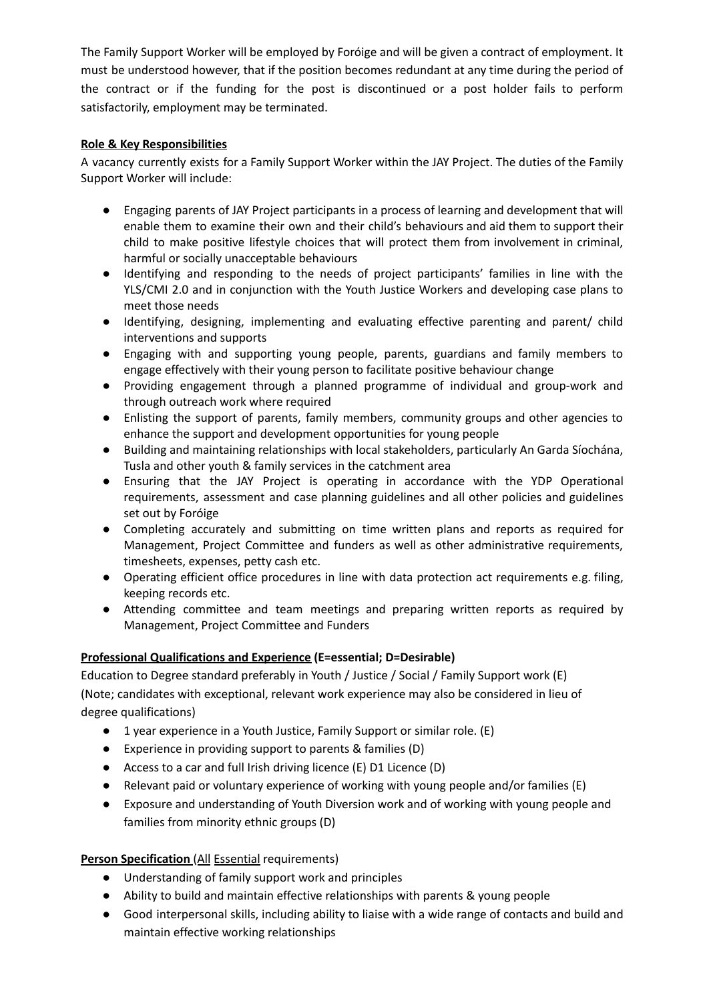The Family Support Worker will be employed by Foróige and will be given a contract of employment. It must be understood however, that if the position becomes redundant at any time during the period of the contract or if the funding for the post is discontinued or a post holder fails to perform satisfactorily, employment may be terminated.

### **Role & Key Responsibilities**

A vacancy currently exists for a Family Support Worker within the JAY Project. The duties of the Family Support Worker will include:

- Engaging parents of JAY Project participants in a process of learning and development that will enable them to examine their own and their child's behaviours and aid them to support their child to make positive lifestyle choices that will protect them from involvement in criminal, harmful or socially unacceptable behaviours
- Identifying and responding to the needs of project participants' families in line with the YLS/CMI 2.0 and in conjunction with the Youth Justice Workers and developing case plans to meet those needs
- Identifying, designing, implementing and evaluating effective parenting and parent/ child interventions and supports
- Engaging with and supporting young people, parents, guardians and family members to engage effectively with their young person to facilitate positive behaviour change
- Providing engagement through a planned programme of individual and group-work and through outreach work where required
- Enlisting the support of parents, family members, community groups and other agencies to enhance the support and development opportunities for young people
- Building and maintaining relationships with local stakeholders, particularly An Garda Síochána, Tusla and other youth & family services in the catchment area
- Ensuring that the JAY Project is operating in accordance with the YDP Operational requirements, assessment and case planning guidelines and all other policies and guidelines set out by Foróige
- Completing accurately and submitting on time written plans and reports as required for Management, Project Committee and funders as well as other administrative requirements, timesheets, expenses, petty cash etc.
- Operating efficient office procedures in line with data protection act requirements e.g. filing, keeping records etc.
- Attending committee and team meetings and preparing written reports as required by Management, Project Committee and Funders

# **Professional Qualifications and Experience (E=essential; D=Desirable)**

Education to Degree standard preferably in Youth / Justice / Social / Family Support work (E) (Note; candidates with exceptional, relevant work experience may also be considered in lieu of degree qualifications)

- 1 year experience in a Youth Justice, Family Support or similar role. (E)
- Experience in providing support to parents & families (D)
- Access to a car and full Irish driving licence (E) D1 Licence (D)
- Relevant paid or voluntary experience of working with young people and/or families (E)
- Exposure and understanding of Youth Diversion work and of working with young people and families from minority ethnic groups (D)

# **Person Specification** (All **Essential** requirements)

- Understanding of family support work and principles
- Ability to build and maintain effective relationships with parents & young people
- Good interpersonal skills, including ability to liaise with a wide range of contacts and build and maintain effective working relationships